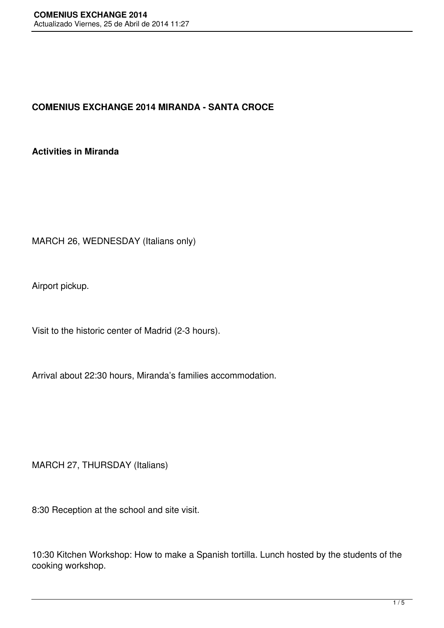## **COMENIUS EXCHANGE 2014 MIRANDA - SANTA CROCE**

## **Activities in Miranda**

MARCH 26, WEDNESDAY (Italians only)

Airport pickup.

Visit to the historic center of Madrid (2-3 hours).

Arrival about 22:30 hours, Miranda's families accommodation.

MARCH 27, THURSDAY (Italians)

8:30 Reception at the school and site visit.

10:30 Kitchen Workshop: How to make a Spanish tortilla. Lunch hosted by the students of the cooking workshop.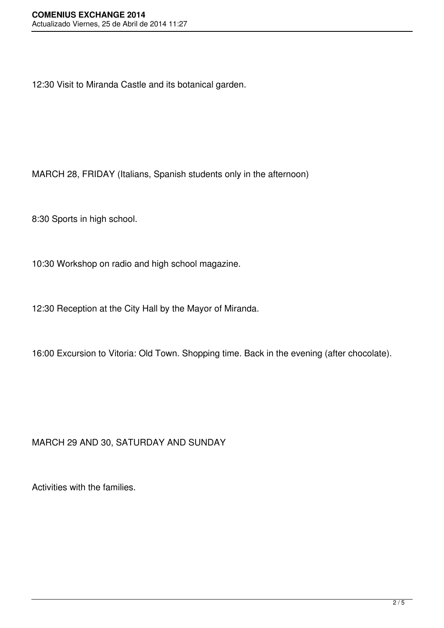12:30 Visit to Miranda Castle and its botanical garden.

MARCH 28, FRIDAY (Italians, Spanish students only in the afternoon)

8:30 Sports in high school.

10:30 Workshop on radio and high school magazine.

12:30 Reception at the City Hall by the Mayor of Miranda.

16:00 Excursion to Vitoria: Old Town. Shopping time. Back in the evening (after chocolate).

## MARCH 29 AND 30, SATURDAY AND SUNDAY

Activities with the families.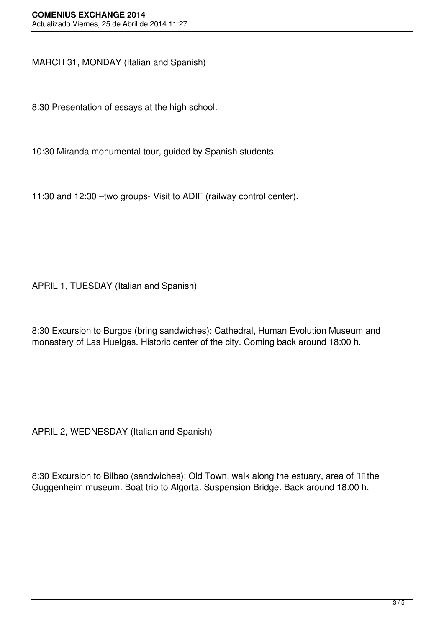MARCH 31, MONDAY (Italian and Spanish)

8:30 Presentation of essays at the high school.

10:30 Miranda monumental tour, guided by Spanish students.

11:30 and 12:30 –two groups- Visit to ADIF (railway control center).

APRIL 1, TUESDAY (Italian and Spanish)

8:30 Excursion to Burgos (bring sandwiches): Cathedral, Human Evolution Museum and monastery of Las Huelgas. Historic center of the city. Coming back around 18:00 h.

APRIL 2, WEDNESDAY (Italian and Spanish)

8:30 Excursion to Bilbao (sandwiches): Old Town, walk along the estuary, area of **II** the Guggenheim museum. Boat trip to Algorta. Suspension Bridge. Back around 18:00 h.